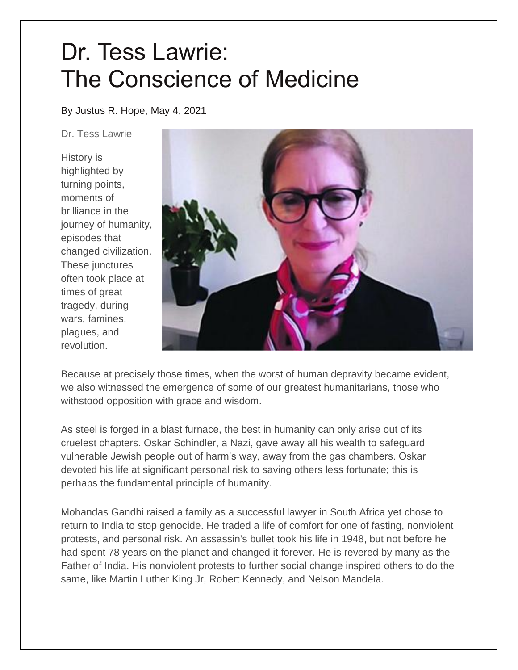## Dr. Tess Lawrie: The Conscience of Medicine

By Justus R. Hope, May 4, 2021

Dr. Tess Lawrie

History is highlighted by turning points, moments of brilliance in the journey of humanity, episodes that changed civilization. These junctures often took place at times of great tragedy, during wars, famines, plagues, and revolution.



Because at precisely those times, when the worst of human depravity became evident, we also witnessed the emergence of some of our greatest humanitarians, those who withstood opposition with grace and wisdom.

As steel is forged in a blast furnace, the best in humanity can only arise out of its cruelest chapters. Oskar Schindler, a Nazi, gave away all his wealth to safeguard vulnerable Jewish people out of harm's way, away from the gas chambers. Oskar devoted his life at significant personal risk to saving others less fortunate; this is perhaps the fundamental principle of humanity.

Mohandas Gandhi raised a family as a successful lawyer in South Africa yet chose to return to India to stop genocide. He traded a life of comfort for one of fasting, nonviolent protests, and personal risk. An assassin's bullet took his life in 1948, but not before he had spent 78 years on the planet and changed it forever. He is revered by many as the Father of India. His nonviolent protests to further social change inspired others to do the same, like Martin Luther King Jr, Robert Kennedy, and Nelson Mandela.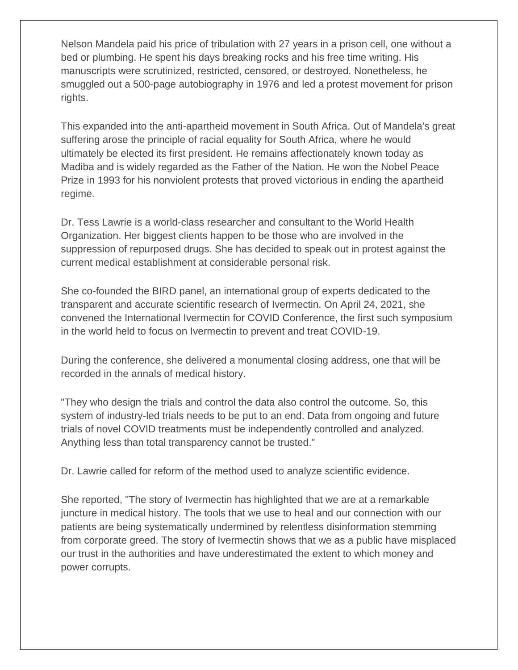Nelson Mandela paid his price of tribulation with 27 years in a prison cell, one without a bed or plumbing. He spent his days breaking rocks and his free time writing. His manuscripts were scrutinized, restricted, censored, or destroyed. Nonetheless, he smuggled out a 500-page autobiography in 1976 and led a protest movement for prison rights.

This expanded into the anti-apartheid movement in South Africa. Out of Mandela's great suffering arose the principle of racial equality for South Africa, where he would ultimately be elected its first president. He remains affectionately known today as Madiba and is widely regarded as the Father of the Nation. He won the Nobel Peace Prize in 1993 for his nonviolent protests that proved victorious in ending the apartheid regime.

Dr. Tess Lawrie is a world-class researcher and consultant to the World Health Organization. Her biggest clients happen to be those who are involved in the suppression of repurposed drugs. She has decided to speak out in protest against the current medical establishment at considerable personal risk.

She co-founded the BIRD panel, an international group of experts dedicated to the transparent and accurate scientific research of Ivermectin. On April 24, 2021, she convened the International Ivermectin for COVID Conference, the first such symposium in the world held to focus on Ivermectin to prevent and treat COVID-19.

During the conference, she delivered a monumental closing address, one that will be recorded in the annals of medical history.

"They who design the trials and control the data also control the outcome. So, this system of industry-led trials needs to be put to an end. Data from ongoing and future trials of novel COVID treatments must be independently controlled and analyzed. Anything less than total transparency cannot be trusted."

Dr. Lawrie called for reform of the method used to analyze scientific evidence.

She reported, "The story of Ivermectin has highlighted that we are at a remarkable juncture in medical history. The tools that we use to heal and our connection with our patients are being systematically undermined by relentless disinformation stemming from corporate greed. The story of Ivermectin shows that we as a public have misplaced our trust in the authorities and have underestimated the extent to which money and power corrupts.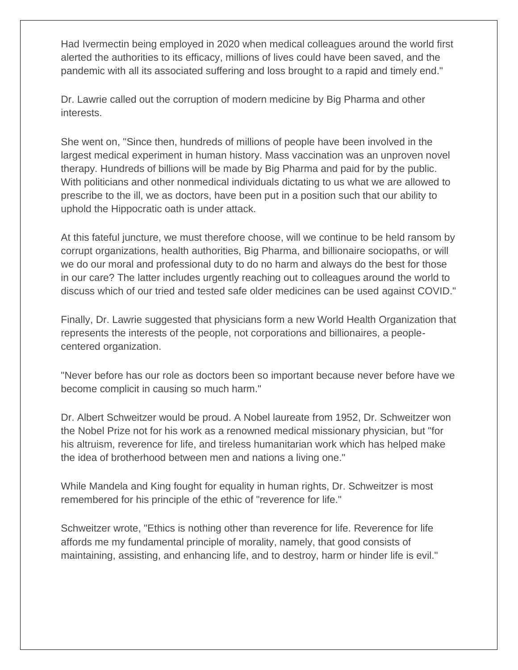Had Ivermectin being employed in 2020 when medical colleagues around the world first alerted the authorities to its efficacy, millions of lives could have been saved, and the pandemic with all its associated suffering and loss brought to a rapid and timely end."

Dr. Lawrie called out the corruption of modern medicine by Big Pharma and other interests.

She went on, "Since then, hundreds of millions of people have been involved in the largest medical experiment in human history. Mass vaccination was an unproven novel therapy. Hundreds of billions will be made by Big Pharma and paid for by the public. With politicians and other nonmedical individuals dictating to us what we are allowed to prescribe to the ill, we as doctors, have been put in a position such that our ability to uphold the Hippocratic oath is under attack.

At this fateful juncture, we must therefore choose, will we continue to be held ransom by corrupt organizations, health authorities, Big Pharma, and billionaire sociopaths, or will we do our moral and professional duty to do no harm and always do the best for those in our care? The latter includes urgently reaching out to colleagues around the world to discuss which of our tried and tested safe older medicines can be used against COVID."

Finally, Dr. Lawrie suggested that physicians form a new World Health Organization that represents the interests of the people, not corporations and billionaires, a peoplecentered organization.

"Never before has our role as doctors been so important because never before have we become complicit in causing so much harm."

Dr. Albert Schweitzer would be proud. A Nobel laureate from 1952, Dr. Schweitzer won the Nobel Prize not for his work as a renowned medical missionary physician, but "for his altruism, reverence for life, and tireless humanitarian work which has helped make the idea of brotherhood between men and nations a living one."

While Mandela and King fought for equality in human rights, Dr. Schweitzer is most remembered for his principle of the ethic of "reverence for life."

Schweitzer wrote, "Ethics is nothing other than reverence for life. Reverence for life affords me my fundamental principle of morality, namely, that good consists of maintaining, assisting, and enhancing life, and to destroy, harm or hinder life is evil."